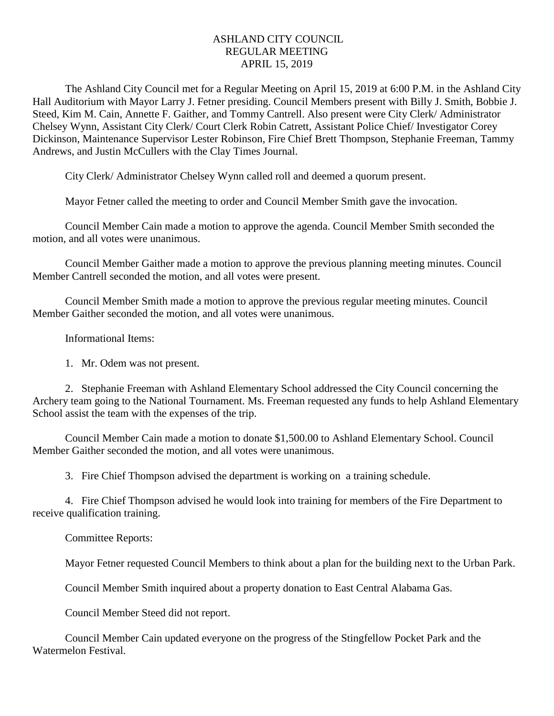## ASHLAND CITY COUNCIL REGULAR MEETING APRIL 15, 2019

The Ashland City Council met for a Regular Meeting on April 15, 2019 at 6:00 P.M. in the Ashland City Hall Auditorium with Mayor Larry J. Fetner presiding. Council Members present with Billy J. Smith, Bobbie J. Steed, Kim M. Cain, Annette F. Gaither, and Tommy Cantrell. Also present were City Clerk/ Administrator Chelsey Wynn, Assistant City Clerk/ Court Clerk Robin Catrett, Assistant Police Chief/ Investigator Corey Dickinson, Maintenance Supervisor Lester Robinson, Fire Chief Brett Thompson, Stephanie Freeman, Tammy Andrews, and Justin McCullers with the Clay Times Journal.

City Clerk/ Administrator Chelsey Wynn called roll and deemed a quorum present.

Mayor Fetner called the meeting to order and Council Member Smith gave the invocation.

Council Member Cain made a motion to approve the agenda. Council Member Smith seconded the motion, and all votes were unanimous.

Council Member Gaither made a motion to approve the previous planning meeting minutes. Council Member Cantrell seconded the motion, and all votes were present.

Council Member Smith made a motion to approve the previous regular meeting minutes. Council Member Gaither seconded the motion, and all votes were unanimous.

Informational Items:

1. Mr. Odem was not present.

2. Stephanie Freeman with Ashland Elementary School addressed the City Council concerning the Archery team going to the National Tournament. Ms. Freeman requested any funds to help Ashland Elementary School assist the team with the expenses of the trip.

Council Member Cain made a motion to donate \$1,500.00 to Ashland Elementary School. Council Member Gaither seconded the motion, and all votes were unanimous.

3. Fire Chief Thompson advised the department is working on a training schedule.

4. Fire Chief Thompson advised he would look into training for members of the Fire Department to receive qualification training.

Committee Reports:

Mayor Fetner requested Council Members to think about a plan for the building next to the Urban Park.

Council Member Smith inquired about a property donation to East Central Alabama Gas.

Council Member Steed did not report.

Council Member Cain updated everyone on the progress of the Stingfellow Pocket Park and the Watermelon Festival.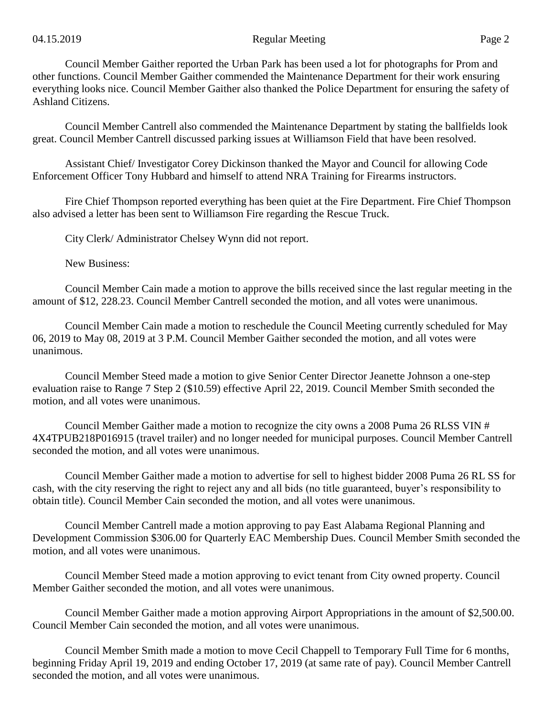Council Member Gaither reported the Urban Park has been used a lot for photographs for Prom and other functions. Council Member Gaither commended the Maintenance Department for their work ensuring everything looks nice. Council Member Gaither also thanked the Police Department for ensuring the safety of Ashland Citizens.

Council Member Cantrell also commended the Maintenance Department by stating the ballfields look great. Council Member Cantrell discussed parking issues at Williamson Field that have been resolved.

Assistant Chief/ Investigator Corey Dickinson thanked the Mayor and Council for allowing Code Enforcement Officer Tony Hubbard and himself to attend NRA Training for Firearms instructors.

Fire Chief Thompson reported everything has been quiet at the Fire Department. Fire Chief Thompson also advised a letter has been sent to Williamson Fire regarding the Rescue Truck.

City Clerk/ Administrator Chelsey Wynn did not report.

New Business:

Council Member Cain made a motion to approve the bills received since the last regular meeting in the amount of \$12, 228.23. Council Member Cantrell seconded the motion, and all votes were unanimous.

Council Member Cain made a motion to reschedule the Council Meeting currently scheduled for May 06, 2019 to May 08, 2019 at 3 P.M. Council Member Gaither seconded the motion, and all votes were unanimous.

Council Member Steed made a motion to give Senior Center Director Jeanette Johnson a one-step evaluation raise to Range 7 Step 2 (\$10.59) effective April 22, 2019. Council Member Smith seconded the motion, and all votes were unanimous.

Council Member Gaither made a motion to recognize the city owns a 2008 Puma 26 RLSS VIN # 4X4TPUB218P016915 (travel trailer) and no longer needed for municipal purposes. Council Member Cantrell seconded the motion, and all votes were unanimous.

Council Member Gaither made a motion to advertise for sell to highest bidder 2008 Puma 26 RL SS for cash, with the city reserving the right to reject any and all bids (no title guaranteed, buyer's responsibility to obtain title). Council Member Cain seconded the motion, and all votes were unanimous.

Council Member Cantrell made a motion approving to pay East Alabama Regional Planning and Development Commission \$306.00 for Quarterly EAC Membership Dues. Council Member Smith seconded the motion, and all votes were unanimous.

Council Member Steed made a motion approving to evict tenant from City owned property. Council Member Gaither seconded the motion, and all votes were unanimous.

Council Member Gaither made a motion approving Airport Appropriations in the amount of \$2,500.00. Council Member Cain seconded the motion, and all votes were unanimous.

Council Member Smith made a motion to move Cecil Chappell to Temporary Full Time for 6 months, beginning Friday April 19, 2019 and ending October 17, 2019 (at same rate of pay). Council Member Cantrell seconded the motion, and all votes were unanimous.